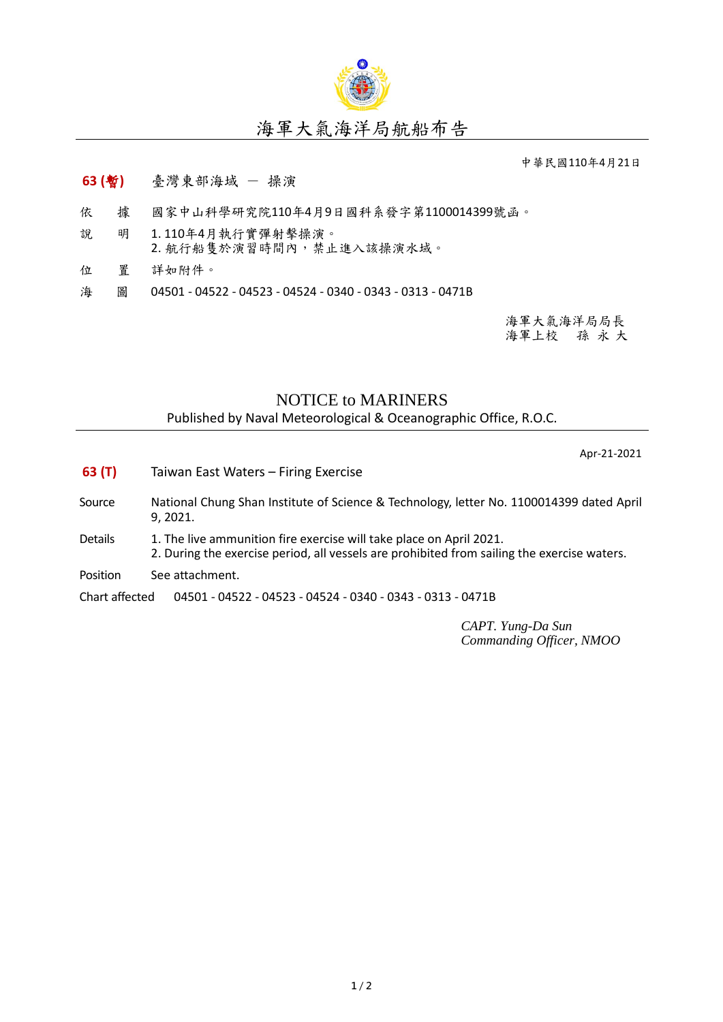

## 海軍大氣海洋局航船布告

中華民國110年4月21日

## **63 (**暫**)** 臺灣東部海域 - 操演

- 依 據 國家中山科學研究院110年4月9日國科系發字第1100014399號函。
- 說 明 1. 110年4月執行實彈射擊操演。 2. 航行船隻於演習時間內,禁止進入該操演水域。
- 位 置 詳如附件。
- 海 圖 04501 04522 04523 04524 0340 0343 0313 0471B

海軍大氣海洋局局長 海軍上校 孫 永 大

## NOTICE to MARINERS

Published by Naval Meteorological & Oceanographic Office, R.O.C.

Apr-21-2021

- **63 (T)** Taiwan East Waters Firing Exercise
- Source National Chung Shan Institute of Science & Technology, letter No. 1100014399 dated April 9, 2021.
- Details 1. The live ammunition fire exercise will take place on April 2021. 2. During the exercise period, all vessels are prohibited from sailing the exercise waters.
- Position See attachment.

Chart affected 04501 - 04522 - 04523 - 04524 - 0340 - 0343 - 0313 - 0471B

*CAPT. Yung-Da Sun Commanding Officer, NMOO*